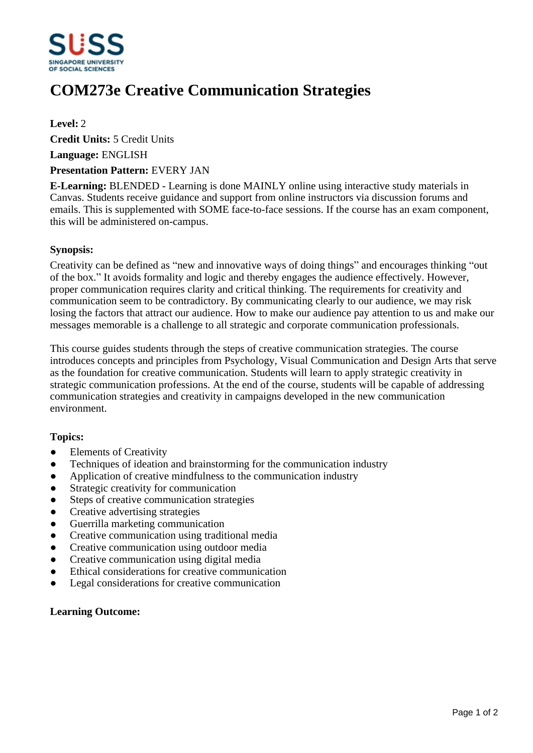

# **COM273e Creative Communication Strategies**

**Level:** 2

**Credit Units:** 5 Credit Units

**Language:** ENGLISH

#### **Presentation Pattern:** EVERY JAN

**E-Learning:** BLENDED - Learning is done MAINLY online using interactive study materials in Canvas. Students receive guidance and support from online instructors via discussion forums and emails. This is supplemented with SOME face-to-face sessions. If the course has an exam component, this will be administered on-campus.

### **Synopsis:**

Creativity can be defined as "new and innovative ways of doing things" and encourages thinking "out of the box." It avoids formality and logic and thereby engages the audience effectively. However, proper communication requires clarity and critical thinking. The requirements for creativity and communication seem to be contradictory. By communicating clearly to our audience, we may risk losing the factors that attract our audience. How to make our audience pay attention to us and make our messages memorable is a challenge to all strategic and corporate communication professionals.

This course guides students through the steps of creative communication strategies. The course introduces concepts and principles from Psychology, Visual Communication and Design Arts that serve as the foundation for creative communication. Students will learn to apply strategic creativity in strategic communication professions. At the end of the course, students will be capable of addressing communication strategies and creativity in campaigns developed in the new communication environment.

## **Topics:**

- Elements of Creativity
- ƔTechniques of ideation and brainstorming for the communication industry
- Application of creative mindfulness to the communication industry
- Strategic creativity for communication
- Steps of creative communication strategies
- Creative advertising strategies
- ƔGuerrilla marketing communication
- Creative communication using traditional media
- Creative communication using outdoor media
- Creative communication using digital media
- Ethical considerations for creative communication
- Legal considerations for creative communication

## **Learning Outcome:**